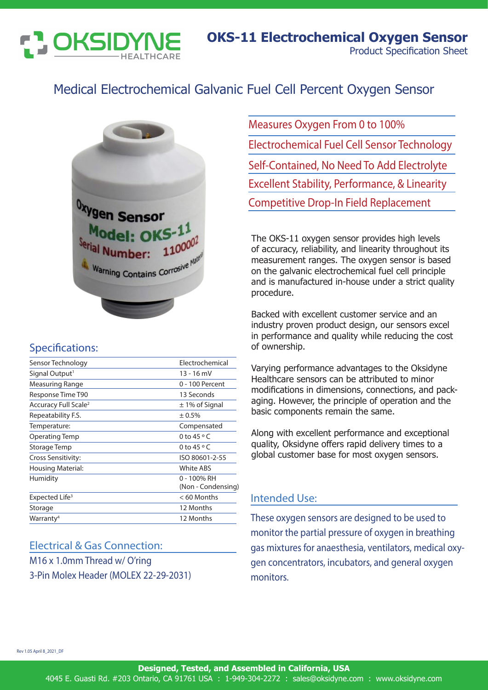

# Medical Electrochemical Galvanic Fuel Cell Percent Oxygen Sensor



### Specifications:

| Sensor Technology                | Electrochemical                   |
|----------------------------------|-----------------------------------|
| Signal Output <sup>1</sup>       | 13 - 16 mV                        |
| Measuring Range                  | 0 - 100 Percent                   |
| Response Time T90                | 13 Seconds                        |
| Accuracy Full Scale <sup>2</sup> | $\pm$ 1% of Signal                |
| Repeatability F.S.               | ± 0.5%                            |
| Temperature:                     | Compensated                       |
| Operating Temp                   | 0 to 45 $\circ$ C                 |
| Storage Temp                     | 0 to $45^{\circ}$ C               |
| Cross Sensitivity:               | ISO 80601-2-55                    |
| <b>Housing Material:</b>         | White ABS                         |
| Humidity                         | 0 - 100% RH<br>(Non - Condensing) |
| Expected Life <sup>3</sup>       | $< 60$ Months                     |
| Storage                          | 12 Months                         |
| Warranty <sup>4</sup>            | 12 Months                         |
|                                  |                                   |

# Electrical & Gas Connection:

M16 x 1.0mm Thread w/ O'ring 3-Pin Molex Header (MOLEX 22-29-2031)

Measures Oxygen From 0 to 100% Electrochemical Fuel Cell Sensor Technology Self-Contained, No Need To Add Electrolyte Excellent Stability, Performance, & Linearity Competitive Drop-In Field Replacement

The OKS-11 oxygen sensor provides high levels of accuracy, reliability, and linearity throughout its measurement ranges. The oxygen sensor is based on the galvanic electrochemical fuel cell principle and is manufactured in-house under a strict quality procedure.

Backed with excellent customer service and an industry proven product design, our sensors excel in performance and quality while reducing the cost of ownership.

Varying performance advantages to the Oksidyne Healthcare sensors can be attributed to minor modifications in dimensions, connections, and packaging. However, the principle of operation and the basic components remain the same.

Along with excellent performance and exceptional quality, Oksidyne offers rapid delivery times to a global customer base for most oxygen sensors.

### Intended Use:

These oxygen sensors are designed to be used to monitor the partial pressure of oxygen in breathing gas mixtures for anaesthesia, ventilators, medical oxygen concentrators, incubators, and general oxygen monitors.

Rev 1.05 April 8\_2021\_DF